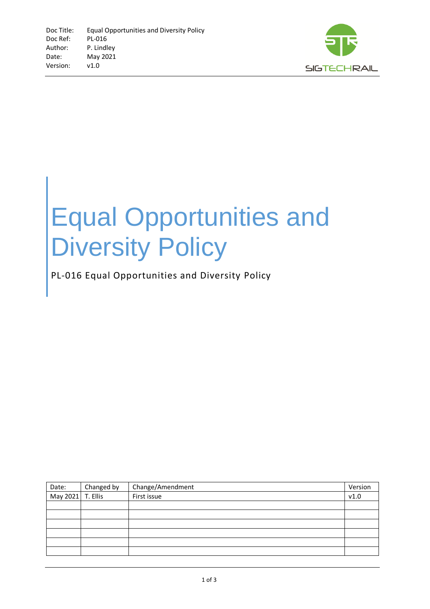

## Equal Opportunities and Diversity Policy

## PL-016 Equal Opportunities and Diversity Policy

| Date:             | Changed by | Change/Amendment | Version |
|-------------------|------------|------------------|---------|
| May 2021 T. Ellis |            | First issue      | v1.0    |
|                   |            |                  |         |
|                   |            |                  |         |
|                   |            |                  |         |
|                   |            |                  |         |
|                   |            |                  |         |
|                   |            |                  |         |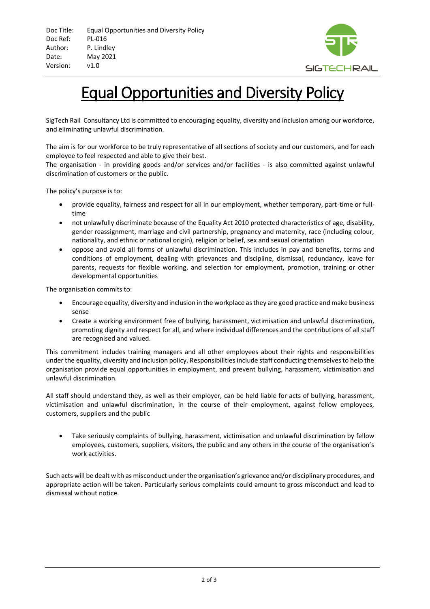

## Equal Opportunities and Diversity Policy

SigTech Rail Consultancy Ltd is committed to encouraging equality, diversity and inclusion among our workforce, and eliminating unlawful discrimination.

The aim is for our workforce to be truly representative of all sections of society and our customers, and for each employee to feel respected and able to give their best.

The organisation - in providing goods and/or services and/or facilities - is also committed against unlawful discrimination of customers or the public.

The policy's purpose is to:

- provide equality, fairness and respect for all in our employment, whether temporary, part-time or fulltime
- not unlawfully discriminate because of the Equality Act 2010 protected characteristics of age, disability, gender reassignment, marriage and civil partnership, pregnancy and maternity, race (including colour, nationality, and ethnic or national origin), religion or belief, sex and sexual orientation
- oppose and avoid all forms of unlawful discrimination. This includes in pay and benefits, terms and conditions of employment, dealing with grievances and discipline, dismissal, redundancy, leave for parents, requests for flexible working, and selection for employment, promotion, training or other developmental opportunities

The organisation commits to:

- Encourage equality, diversity and inclusion in the workplace as they are good practice and make business sense
- Create a working environment free of bullying, harassment, victimisation and unlawful discrimination, promoting dignity and respect for all, and where individual differences and the contributions of all staff are recognised and valued.

This commitment includes training managers and all other employees about their rights and responsibilities under the equality, diversity and inclusion policy. Responsibilities include staff conducting themselves to help the organisation provide equal opportunities in employment, and prevent bullying, harassment, victimisation and unlawful discrimination.

All staff should understand they, as well as their employer, can be held liable for acts of bullying, harassment, victimisation and unlawful discrimination, in the course of their employment, against fellow employees, customers, suppliers and the public

• Take seriously complaints of bullying, harassment, victimisation and unlawful discrimination by fellow employees, customers, suppliers, visitors, the public and any others in the course of the organisation's work activities.

Such acts will be dealt with as misconduct under the organisation's grievance and/or disciplinary procedures, and appropriate action will be taken. Particularly serious complaints could amount to gross misconduct and lead to dismissal without notice.